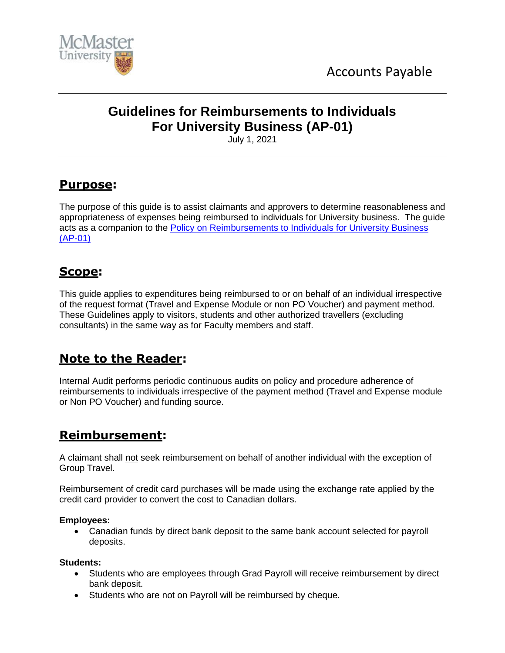



# **Guidelines for Reimbursements to Individuals For University Business (AP-01)**

July 1, 2021

# **Purpose:**

The purpose of this guide is to assist claimants and approvers to determine reasonableness and appropriateness of expenses being reimbursed to individuals for University business. The guide acts as a companion to the [Policy on Reimbursements to Individuals for University Business](http://www.mcmaster.ca/bms/policy/accounts_payable/ap01-rem_univ_bus.pdf)  [\(AP-01\)](http://www.mcmaster.ca/bms/policy/accounts_payable/ap01-rem_univ_bus.pdf)

# **Scope:**

This guide applies to expenditures being reimbursed to or on behalf of an individual irrespective of the request format (Travel and Expense Module or non PO Voucher) and payment method. These Guidelines apply to visitors, students and other authorized travellers (excluding consultants) in the same way as for Faculty members and staff.

# **Note to the Reader:**

Internal Audit performs periodic continuous audits on policy and procedure adherence of reimbursements to individuals irrespective of the payment method (Travel and Expense module or Non PO Voucher) and funding source.

# **Reimbursement:**

A claimant shall not seek reimbursement on behalf of another individual with the exception of Group Travel.

Reimbursement of credit card purchases will be made using the exchange rate applied by the credit card provider to convert the cost to Canadian dollars.

#### **Employees:**

 Canadian funds by direct bank deposit to the same bank account selected for payroll deposits.

#### **Students:**

- Students who are employees through Grad Payroll will receive reimbursement by direct bank deposit.
- Students who are not on Payroll will be reimbursed by cheque.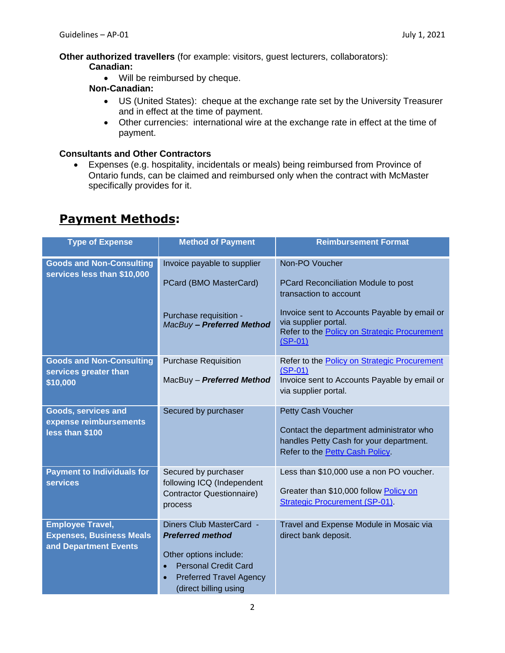**Other authorized travellers** (for example: visitors, guest lecturers, collaborators): **Canadian:**

• Will be reimbursed by cheque.

### **Non-Canadian:**

- US (United States): cheque at the exchange rate set by the University Treasurer and in effect at the time of payment.
- Other currencies: international wire at the exchange rate in effect at the time of payment.

#### **Consultants and Other Contractors**

 Expenses (e.g. hospitality, incidentals or meals) being reimbursed from Province of Ontario funds, can be claimed and reimbursed only when the contract with McMaster specifically provides for it.

## **Payment Methods:**

| <b>Type of Expense</b>                                                              | <b>Method of Payment</b>                                                                                                                                                                          | <b>Reimbursement Format</b>                                                                                                                                                                                          |
|-------------------------------------------------------------------------------------|---------------------------------------------------------------------------------------------------------------------------------------------------------------------------------------------------|----------------------------------------------------------------------------------------------------------------------------------------------------------------------------------------------------------------------|
| <b>Goods and Non-Consulting</b><br>services less than \$10,000                      | Invoice payable to supplier<br>PCard (BMO MasterCard)<br>Purchase requisition -<br>MacBuy - Preferred Method                                                                                      | Non-PO Voucher<br>PCard Reconciliation Module to post<br>transaction to account<br>Invoice sent to Accounts Payable by email or<br>via supplier portal.<br>Refer to the Policy on Strategic Procurement<br>$(SP-01)$ |
| <b>Goods and Non-Consulting</b><br>services greater than<br>\$10,000                | <b>Purchase Requisition</b><br>MacBuy - Preferred Method                                                                                                                                          | Refer to the Policy on Strategic Procurement<br>$(SP-01)$<br>Invoice sent to Accounts Payable by email or<br>via supplier portal.                                                                                    |
| Goods, services and<br>expense reimbursements<br>less than \$100                    | Secured by purchaser                                                                                                                                                                              | Petty Cash Voucher<br>Contact the department administrator who<br>handles Petty Cash for your department.<br>Refer to the Petty Cash Policy.                                                                         |
| <b>Payment to Individuals for</b><br><b>services</b>                                | Secured by purchaser<br>following ICQ (Independent<br>Contractor Questionnaire)<br>process                                                                                                        | Less than \$10,000 use a non PO voucher.<br>Greater than \$10,000 follow Policy on<br><b>Strategic Procurement (SP-01)</b> .                                                                                         |
| <b>Employee Travel,</b><br><b>Expenses, Business Meals</b><br>and Department Events | Diners Club MasterCard -<br><b>Preferred method</b><br>Other options include:<br><b>Personal Credit Card</b><br>$\bullet$<br><b>Preferred Travel Agency</b><br>$\bullet$<br>(direct billing using | Travel and Expense Module in Mosaic via<br>direct bank deposit.                                                                                                                                                      |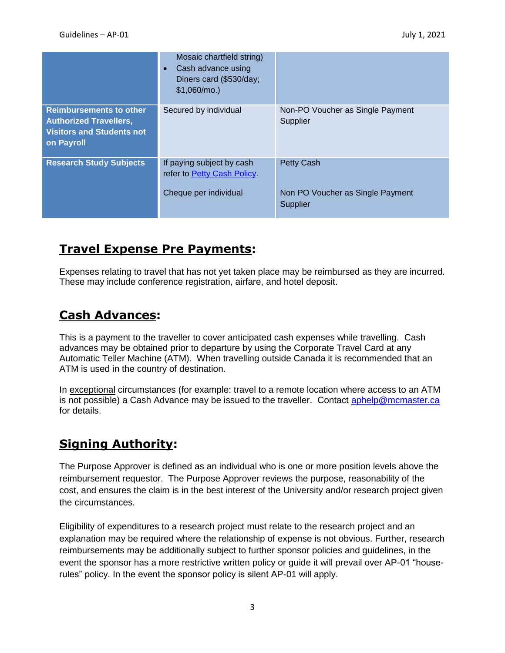|                                                                                                                   | Mosaic chartfield string)<br>Cash advance using<br>$\bullet$<br>Diners card (\$530/day;<br>$$1,060/mol$ .) |                                                                   |
|-------------------------------------------------------------------------------------------------------------------|------------------------------------------------------------------------------------------------------------|-------------------------------------------------------------------|
| <b>Reimbursements to other</b><br><b>Authorized Travellers,</b><br><b>Visitors and Students not</b><br>on Payroll | Secured by individual                                                                                      | Non-PO Voucher as Single Payment<br>Supplier                      |
| <b>Research Study Subjects</b>                                                                                    | If paying subject by cash<br>refer to Petty Cash Policy<br>Cheque per individual                           | <b>Petty Cash</b><br>Non PO Voucher as Single Payment<br>Supplier |

# **Travel Expense Pre Payments:**

Expenses relating to travel that has not yet taken place may be reimbursed as they are incurred. These may include conference registration, airfare, and hotel deposit.

# **Cash Advances:**

This is a payment to the traveller to cover anticipated cash expenses while travelling. Cash advances may be obtained prior to departure by using the Corporate Travel Card at any Automatic Teller Machine (ATM). When travelling outside Canada it is recommended that an ATM is used in the country of destination.

In exceptional circumstances (for example: travel to a remote location where access to an ATM is not possible) a Cash Advance may be issued to the traveller. Contact [aphelp@mcmaster.ca](mailto:aphelp@mcmaster.ca) for details.

# **Signing Authority:**

The Purpose Approver is defined as an individual who is one or more position levels above the reimbursement requestor. The Purpose Approver reviews the purpose, reasonability of the cost, and ensures the claim is in the best interest of the University and/or research project given the circumstances.

Eligibility of expenditures to a research project must relate to the research project and an explanation may be required where the relationship of expense is not obvious. Further, research reimbursements may be additionally subject to further sponsor policies and guidelines, in the event the sponsor has a more restrictive written policy or guide it will prevail over AP-01 "houserules" policy. In the event the sponsor policy is silent AP-01 will apply.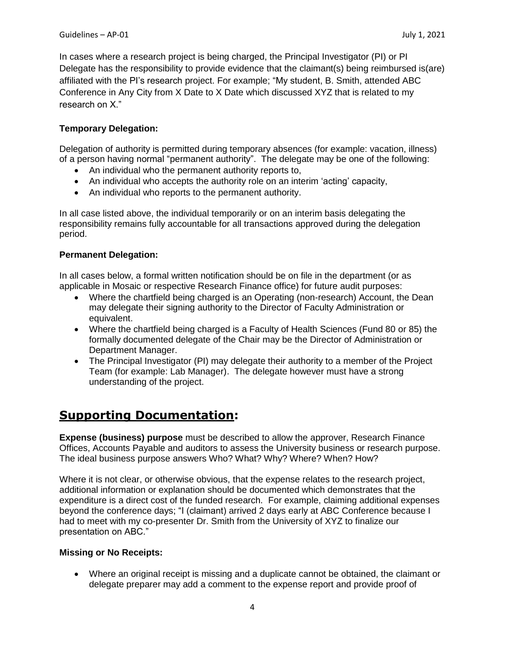In cases where a research project is being charged, the Principal Investigator (PI) or PI Delegate has the responsibility to provide evidence that the claimant(s) being reimbursed is(are) affiliated with the PI's research project. For example; "My student, B. Smith, attended ABC Conference in Any City from X Date to X Date which discussed XYZ that is related to my research on X."

### **Temporary Delegation:**

Delegation of authority is permitted during temporary absences (for example: vacation, illness) of a person having normal "permanent authority". The delegate may be one of the following:

- An individual who the permanent authority reports to,
- An individual who accepts the authority role on an interim 'acting' capacity,
- An individual who reports to the permanent authority.

In all case listed above, the individual temporarily or on an interim basis delegating the responsibility remains fully accountable for all transactions approved during the delegation period.

#### **Permanent Delegation:**

In all cases below, a formal written notification should be on file in the department (or as applicable in Mosaic or respective Research Finance office) for future audit purposes:

- Where the chartfield being charged is an Operating (non-research) Account, the Dean may delegate their signing authority to the Director of Faculty Administration or equivalent.
- Where the chartfield being charged is a Faculty of Health Sciences (Fund 80 or 85) the formally documented delegate of the Chair may be the Director of Administration or Department Manager.
- The Principal Investigator (PI) may delegate their authority to a member of the Project Team (for example: Lab Manager). The delegate however must have a strong understanding of the project.

# **Supporting Documentation:**

**Expense (business) purpose** must be described to allow the approver, Research Finance Offices, Accounts Payable and auditors to assess the University business or research purpose. The ideal business purpose answers Who? What? Why? Where? When? How?

Where it is not clear, or otherwise obvious, that the expense relates to the research project, additional information or explanation should be documented which demonstrates that the expenditure is a direct cost of the funded research. For example, claiming additional expenses beyond the conference days; "I (claimant) arrived 2 days early at ABC Conference because I had to meet with my co-presenter Dr. Smith from the University of XYZ to finalize our presentation on ABC."

#### **Missing or No Receipts:**

 Where an original receipt is missing and a duplicate cannot be obtained, the claimant or delegate preparer may add a comment to the expense report and provide proof of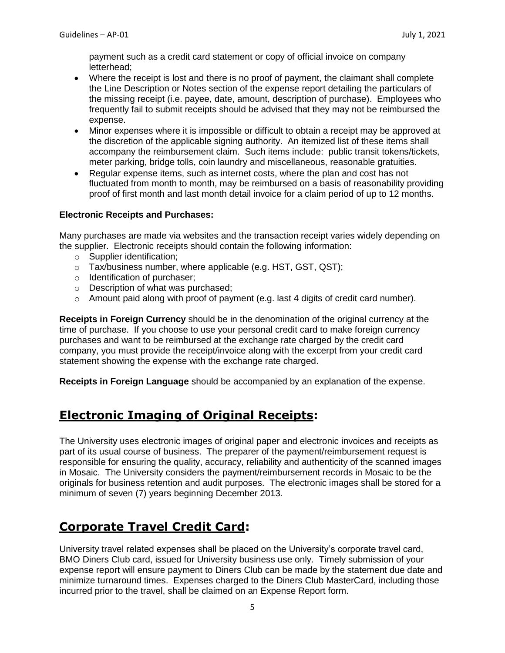payment such as a credit card statement or copy of official invoice on company letterhead;

- Where the receipt is lost and there is no proof of payment, the claimant shall complete the Line Description or Notes section of the expense report detailing the particulars of the missing receipt (i.e. payee, date, amount, description of purchase). Employees who frequently fail to submit receipts should be advised that they may not be reimbursed the expense.
- Minor expenses where it is impossible or difficult to obtain a receipt may be approved at the discretion of the applicable signing authority. An itemized list of these items shall accompany the reimbursement claim. Such items include: public transit tokens/tickets, meter parking, bridge tolls, coin laundry and miscellaneous, reasonable gratuities.
- Regular expense items, such as internet costs, where the plan and cost has not fluctuated from month to month, may be reimbursed on a basis of reasonability providing proof of first month and last month detail invoice for a claim period of up to 12 months.

### **Electronic Receipts and Purchases:**

Many purchases are made via websites and the transaction receipt varies widely depending on the supplier. Electronic receipts should contain the following information:

- o Supplier identification;
- o Tax/business number, where applicable (e.g. HST, GST, QST);
- o Identification of purchaser;
- o Description of what was purchased;
- $\circ$  Amount paid along with proof of payment (e.g. last 4 digits of credit card number).

**Receipts in Foreign Currency** should be in the denomination of the original currency at the time of purchase. If you choose to use your personal credit card to make foreign currency purchases and want to be reimbursed at the exchange rate charged by the credit card company, you must provide the receipt/invoice along with the excerpt from your credit card statement showing the expense with the exchange rate charged.

**Receipts in Foreign Language** should be accompanied by an explanation of the expense.

# **Electronic Imaging of Original Receipts:**

The University uses electronic images of original paper and electronic invoices and receipts as part of its usual course of business. The preparer of the payment/reimbursement request is responsible for ensuring the quality, accuracy, reliability and authenticity of the scanned images in Mosaic. The University considers the payment/reimbursement records in Mosaic to be the originals for business retention and audit purposes. The electronic images shall be stored for a minimum of seven (7) years beginning December 2013.

# **Corporate Travel Credit Card:**

University travel related expenses shall be placed on the University's corporate travel card, BMO Diners Club card, issued for University business use only. Timely submission of your expense report will ensure payment to Diners Club can be made by the statement due date and minimize turnaround times. Expenses charged to the Diners Club MasterCard, including those incurred prior to the travel, shall be claimed on an Expense Report form.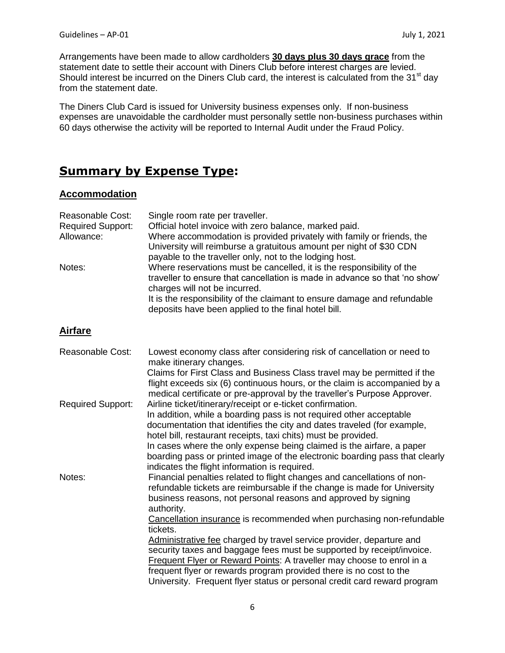Arrangements have been made to allow cardholders **30 days plus 30 days grace** from the statement date to settle their account with Diners Club before interest charges are levied. Should interest be incurred on the Diners Club card, the interest is calculated from the 31<sup>st</sup> day from the statement date.

The Diners Club Card is issued for University business expenses only. If non-business expenses are unavoidable the cardholder must personally settle non-business purchases within 60 days otherwise the activity will be reported to Internal Audit under the Fraud Policy.

# **Summary by Expense Type:**

#### **Accommodation**

| Reasonable Cost:<br><b>Required Support:</b><br>Allowance:<br>Notes: | Single room rate per traveller.<br>Official hotel invoice with zero balance, marked paid.<br>Where accommodation is provided privately with family or friends, the<br>University will reimburse a gratuitous amount per night of \$30 CDN<br>payable to the traveller only, not to the lodging host.<br>Where reservations must be cancelled, it is the responsibility of the<br>traveller to ensure that cancellation is made in advance so that 'no show'<br>charges will not be incurred. |
|----------------------------------------------------------------------|----------------------------------------------------------------------------------------------------------------------------------------------------------------------------------------------------------------------------------------------------------------------------------------------------------------------------------------------------------------------------------------------------------------------------------------------------------------------------------------------|
|                                                                      | It is the responsibility of the claimant to ensure damage and refundable<br>deposits have been applied to the final hotel bill.                                                                                                                                                                                                                                                                                                                                                              |
| <b>Airfare</b>                                                       |                                                                                                                                                                                                                                                                                                                                                                                                                                                                                              |
| <b>Reasonable Cost:</b>                                              | Lowest economy class after considering risk of cancellation or need to<br>make itinerary changes.                                                                                                                                                                                                                                                                                                                                                                                            |
|                                                                      | Claims for First Class and Business Class travel may be permitted if the<br>flight exceeds six (6) continuous hours, or the claim is accompanied by a<br>medical certificate or pre-approval by the traveller's Purpose Approver.                                                                                                                                                                                                                                                            |
| <b>Required Support:</b>                                             | Airline ticket/itinerary/receipt or e-ticket confirmation.<br>In addition, while a boarding pass is not required other acceptable<br>documentation that identifies the city and dates traveled (for example,<br>hotel bill, restaurant receipts, taxi chits) must be provided.                                                                                                                                                                                                               |
|                                                                      | In cases where the only expense being claimed is the airfare, a paper<br>boarding pass or printed image of the electronic boarding pass that clearly<br>indicates the flight information is required.                                                                                                                                                                                                                                                                                        |
| Notes:                                                               | Financial penalties related to flight changes and cancellations of non-<br>refundable tickets are reimbursable if the change is made for University<br>business reasons, not personal reasons and approved by signing<br>authority.                                                                                                                                                                                                                                                          |
|                                                                      | Cancellation insurance is recommended when purchasing non-refundable<br>tickets.                                                                                                                                                                                                                                                                                                                                                                                                             |
|                                                                      | Administrative fee charged by travel service provider, departure and<br>security taxes and baggage fees must be supported by receipt/invoice.<br>Frequent Flyer or Reward Points: A traveller may choose to enrol in a<br>frequent flyer or rewards program provided there is no cost to the                                                                                                                                                                                                 |
|                                                                      | University. Frequent flyer status or personal credit card reward program                                                                                                                                                                                                                                                                                                                                                                                                                     |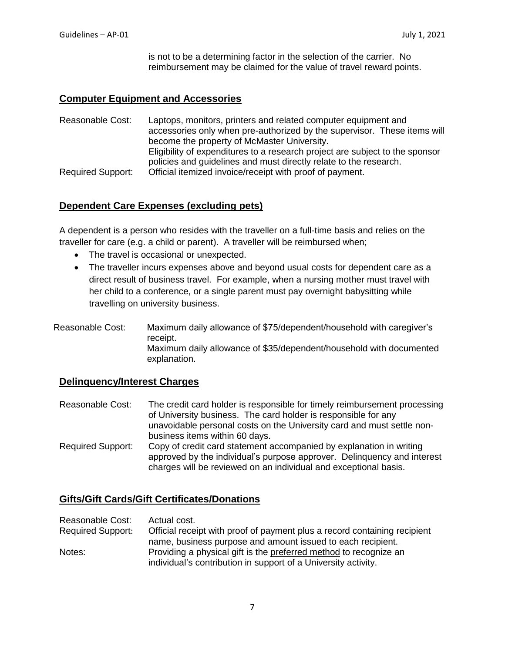is not to be a determining factor in the selection of the carrier. No reimbursement may be claimed for the value of travel reward points.

### **Computer Equipment and Accessories**

Reasonable Cost: Laptops, monitors, printers and related computer equipment and accessories only when pre-authorized by the supervisor. These items will become the property of McMaster University. Eligibility of expenditures to a research project are subject to the sponsor policies and guidelines and must directly relate to the research. Required Support: Official itemized invoice/receipt with proof of payment.

## **Dependent Care Expenses (excluding pets)**

A dependent is a person who resides with the traveller on a full-time basis and relies on the traveller for care (e.g. a child or parent). A traveller will be reimbursed when;

- The travel is occasional or unexpected.
- The traveller incurs expenses above and beyond usual costs for dependent care as a direct result of business travel. For example, when a nursing mother must travel with her child to a conference, or a single parent must pay overnight babysitting while travelling on university business.
- Reasonable Cost: Maximum daily allowance of \$75/dependent/household with caregiver's receipt. Maximum daily allowance of \$35/dependent/household with documented explanation.

#### **Delinquency/Interest Charges**

Reasonable Cost: The credit card holder is responsible for timely reimbursement processing of University business. The card holder is responsible for any unavoidable personal costs on the University card and must settle nonbusiness items within 60 days. Required Support: Copy of credit card statement accompanied by explanation in writing approved by the individual's purpose approver. Delinquency and interest charges will be reviewed on an individual and exceptional basis.

### **Gifts/Gift Cards/Gift Certificates/Donations**

Reasonable Cost: Actual cost. Required Support: Official receipt with proof of payment plus a record containing recipient name, business purpose and amount issued to each recipient. Notes: Providing a physical gift is the preferred method to recognize an individual's contribution in support of a University activity.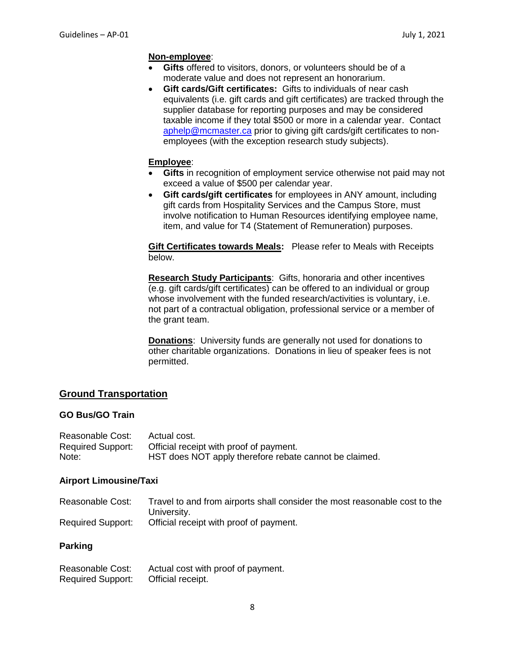#### **Non-employee**:

- **Gifts** offered to visitors, donors, or volunteers should be of a moderate value and does not represent an honorarium.
- **Gift cards/Gift certificates:** Gifts to individuals of near cash equivalents (i.e. gift cards and gift certificates) are tracked through the supplier database for reporting purposes and may be considered taxable income if they total \$500 or more in a calendar year. Contact [aphelp@mcmaster.ca](mailto:aphelp@mcmaster.ca) prior to giving gift cards/gift certificates to nonemployees (with the exception research study subjects).

#### **Employee**:

- **Gifts** in recognition of employment service otherwise not paid may not exceed a value of \$500 per calendar year.
- **Gift cards/gift certificates** for employees in ANY amount, including gift cards from Hospitality Services and the Campus Store, must involve notification to Human Resources identifying employee name, item, and value for T4 (Statement of Remuneration) purposes.

**Gift Certificates towards Meals:** Please refer to Meals with Receipts below.

**Research Study Participants**: Gifts, honoraria and other incentives (e.g. gift cards/gift certificates) can be offered to an individual or group whose involvement with the funded research/activities is voluntary, i.e. not part of a contractual obligation, professional service or a member of the grant team.

**Donations**: University funds are generally not used for donations to other charitable organizations. Donations in lieu of speaker fees is not permitted.

### **Ground Transportation**

#### **GO Bus/GO Train**

| Reasonable Cost:  | Actual cost.                                           |
|-------------------|--------------------------------------------------------|
| Required Support: | Official receipt with proof of payment.                |
| Note:             | HST does NOT apply therefore rebate cannot be claimed. |

#### **Airport Limousine/Taxi**

Reasonable Cost: Travel to and from airports shall consider the most reasonable cost to the University. Required Support: Official receipt with proof of payment.

#### **Parking**

| Reasonable Cost:         | Actual cost with proof of payment. |
|--------------------------|------------------------------------|
| <b>Required Support:</b> | Official receipt.                  |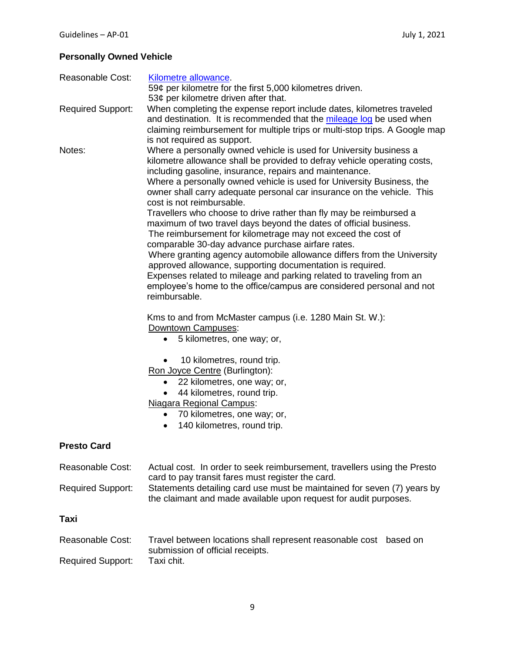## **Personally Owned Vehicle**

| Reasonable Cost:         | Kilometre allowance.<br>59¢ per kilometre for the first 5,000 kilometres driven.<br>53 $¢$ per kilometre driven after that.                                                                                                                                                                                                                                                                                                                                                                                                                                                                                                                                                                                                                                                                                                                                                                                                                                                                                                                                                                                                                                                                                                                                                                                     |
|--------------------------|-----------------------------------------------------------------------------------------------------------------------------------------------------------------------------------------------------------------------------------------------------------------------------------------------------------------------------------------------------------------------------------------------------------------------------------------------------------------------------------------------------------------------------------------------------------------------------------------------------------------------------------------------------------------------------------------------------------------------------------------------------------------------------------------------------------------------------------------------------------------------------------------------------------------------------------------------------------------------------------------------------------------------------------------------------------------------------------------------------------------------------------------------------------------------------------------------------------------------------------------------------------------------------------------------------------------|
| <b>Required Support:</b> | When completing the expense report include dates, kilometres traveled<br>and destination. It is recommended that the mileage log be used when<br>claiming reimbursement for multiple trips or multi-stop trips. A Google map<br>is not required as support.                                                                                                                                                                                                                                                                                                                                                                                                                                                                                                                                                                                                                                                                                                                                                                                                                                                                                                                                                                                                                                                     |
| Notes:                   | Where a personally owned vehicle is used for University business a<br>kilometre allowance shall be provided to defray vehicle operating costs,<br>including gasoline, insurance, repairs and maintenance.<br>Where a personally owned vehicle is used for University Business, the<br>owner shall carry adequate personal car insurance on the vehicle. This<br>cost is not reimbursable.<br>Travellers who choose to drive rather than fly may be reimbursed a<br>maximum of two travel days beyond the dates of official business.<br>The reimbursement for kilometrage may not exceed the cost of<br>comparable 30-day advance purchase airfare rates.<br>Where granting agency automobile allowance differs from the University<br>approved allowance, supporting documentation is required.<br>Expenses related to mileage and parking related to traveling from an<br>employee's home to the office/campus are considered personal and not<br>reimbursable.<br>Kms to and from McMaster campus (i.e. 1280 Main St. W.):<br>Downtown Campuses:<br>5 kilometres, one way; or,<br>$\bullet$<br>10 kilometres, round trip.<br>Ron Joyce Centre (Burlington):<br>22 kilometres, one way; or,<br>٠<br>44 kilometres, round trip.<br><b>Niagara Regional Campus:</b><br>70 kilometres, one way; or,<br>$\bullet$ |
|                          | 140 kilometres, round trip.<br>٠                                                                                                                                                                                                                                                                                                                                                                                                                                                                                                                                                                                                                                                                                                                                                                                                                                                                                                                                                                                                                                                                                                                                                                                                                                                                                |
| <b>Presto Card</b>       |                                                                                                                                                                                                                                                                                                                                                                                                                                                                                                                                                                                                                                                                                                                                                                                                                                                                                                                                                                                                                                                                                                                                                                                                                                                                                                                 |
| Reasonable Cost:         | Actual cost. In order to seek reimbursement, travellers using the Presto<br>card to pay transit fares must register the card.                                                                                                                                                                                                                                                                                                                                                                                                                                                                                                                                                                                                                                                                                                                                                                                                                                                                                                                                                                                                                                                                                                                                                                                   |
| <b>Required Support:</b> | Statements detailing card use must be maintained for seven (7) years by<br>the claimant and made available upon request for audit purposes.                                                                                                                                                                                                                                                                                                                                                                                                                                                                                                                                                                                                                                                                                                                                                                                                                                                                                                                                                                                                                                                                                                                                                                     |
| Taxi                     |                                                                                                                                                                                                                                                                                                                                                                                                                                                                                                                                                                                                                                                                                                                                                                                                                                                                                                                                                                                                                                                                                                                                                                                                                                                                                                                 |
| Reasonable Cost:         | Travel between locations shall represent reasonable cost based on                                                                                                                                                                                                                                                                                                                                                                                                                                                                                                                                                                                                                                                                                                                                                                                                                                                                                                                                                                                                                                                                                                                                                                                                                                               |
| <b>Required Support:</b> | submission of official receipts.<br>Taxi chit.                                                                                                                                                                                                                                                                                                                                                                                                                                                                                                                                                                                                                                                                                                                                                                                                                                                                                                                                                                                                                                                                                                                                                                                                                                                                  |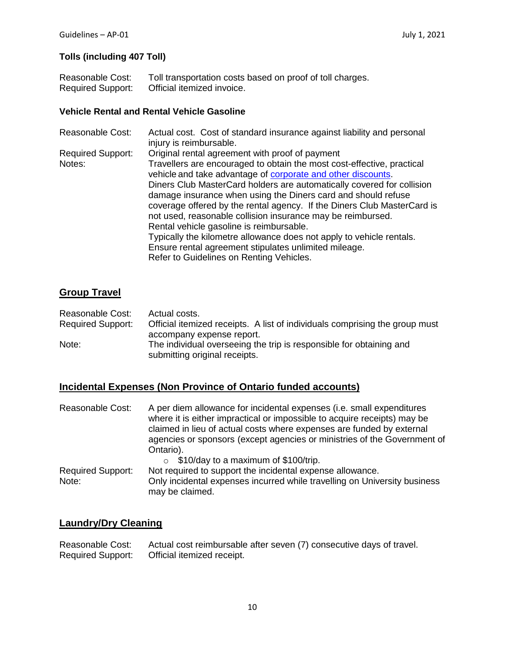### **Tolls (including 407 Toll)**

| Reasonable Cost:         | Toll transportation costs based on proof of toll charges. |
|--------------------------|-----------------------------------------------------------|
| <b>Required Support:</b> | Official itemized invoice.                                |

#### **Vehicle Rental and Rental Vehicle Gasoline**

| <b>Reasonable Cost:</b>  | Actual cost. Cost of standard insurance against liability and personal<br>injury is reimbursable. |
|--------------------------|---------------------------------------------------------------------------------------------------|
| <b>Required Support:</b> | Original rental agreement with proof of payment                                                   |
| Notes:                   | Travellers are encouraged to obtain the most cost-effective, practical                            |
|                          | vehicle and take advantage of corporate and other discounts.                                      |
|                          | Diners Club MasterCard holders are automatically covered for collision                            |
|                          | damage insurance when using the Diners card and should refuse                                     |
|                          | coverage offered by the rental agency. If the Diners Club MasterCard is                           |
|                          | not used, reasonable collision insurance may be reimbursed.                                       |
|                          | Rental vehicle gasoline is reimbursable.                                                          |
|                          | Typically the kilometre allowance does not apply to vehicle rentals.                              |
|                          | Ensure rental agreement stipulates unlimited mileage.                                             |
|                          | Refer to Guidelines on Renting Vehicles.                                                          |

## **Group Travel**

| Reasonable Cost:         | Actual costs.                                                               |
|--------------------------|-----------------------------------------------------------------------------|
| <b>Required Support:</b> | Official itemized receipts. A list of individuals comprising the group must |
|                          | accompany expense report.                                                   |
| Note:                    | The individual overseeing the trip is responsible for obtaining and         |
|                          | submitting original receipts.                                               |

## **Incidental Expenses (Non Province of Ontario funded accounts)**

| Reasonable Cost:                  | A per diem allowance for incidental expenses (i.e. small expenditures<br>where it is either impractical or impossible to acquire receipts) may be<br>claimed in lieu of actual costs where expenses are funded by external<br>agencies or sponsors (except agencies or ministries of the Government of<br>Ontario). |
|-----------------------------------|---------------------------------------------------------------------------------------------------------------------------------------------------------------------------------------------------------------------------------------------------------------------------------------------------------------------|
| <b>Required Support:</b><br>Note: | \$10/day to a maximum of \$100/trip.<br>$\circ$<br>Not required to support the incidental expense allowance.<br>Only incidental expenses incurred while travelling on University business<br>may be claimed.                                                                                                        |

## **Laundry/Dry Cleaning**

Reasonable Cost: Actual cost reimbursable after seven (7) consecutive days of travel.<br>Required Support: Official itemized receipt. Official itemized receipt.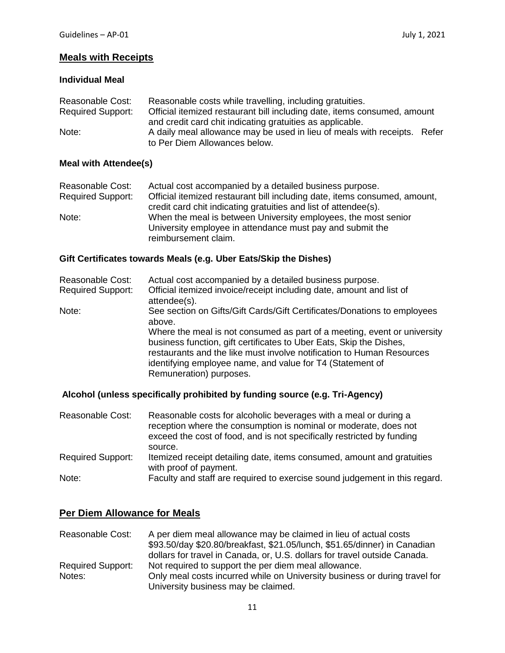### **Meals with Receipts**

### **Individual Meal**

| Reasonable Cost:         | Reasonable costs while travelling, including gratuities.                 |  |
|--------------------------|--------------------------------------------------------------------------|--|
| <b>Required Support:</b> | Official itemized restaurant bill including date, items consumed, amount |  |
|                          | and credit card chit indicating gratuities as applicable.                |  |
| Note:                    | A daily meal allowance may be used in lieu of meals with receipts. Refer |  |
|                          | to Per Diem Allowances below.                                            |  |

### **Meal with Attendee(s)**

| Reasonable Cost:         | Actual cost accompanied by a detailed business purpose.                   |
|--------------------------|---------------------------------------------------------------------------|
| <b>Required Support:</b> | Official itemized restaurant bill including date, items consumed, amount, |
|                          | credit card chit indicating gratuities and list of attendee(s).           |
| Note:                    | When the meal is between University employees, the most senior            |
|                          | University employee in attendance must pay and submit the                 |
|                          | reimbursement claim.                                                      |

### **Gift Certificates towards Meals (e.g. Uber Eats/Skip the Dishes)**

| Reasonable Cost:         | Actual cost accompanied by a detailed business purpose.                                                                                                                                                                                                                                                          |  |
|--------------------------|------------------------------------------------------------------------------------------------------------------------------------------------------------------------------------------------------------------------------------------------------------------------------------------------------------------|--|
| <b>Required Support:</b> | Official itemized invoice/receipt including date, amount and list of<br>attendee(s).                                                                                                                                                                                                                             |  |
| Note:                    | See section on Gifts/Gift Cards/Gift Certificates/Donations to employees<br>above.                                                                                                                                                                                                                               |  |
|                          | Where the meal is not consumed as part of a meeting, event or university<br>business function, gift certificates to Uber Eats, Skip the Dishes,<br>restaurants and the like must involve notification to Human Resources<br>identifying employee name, and value for T4 (Statement of<br>Remuneration) purposes. |  |

## **Alcohol (unless specifically prohibited by funding source (e.g. Tri-Agency)**

| Reasonable Cost:         | Reasonable costs for alcoholic beverages with a meal or during a<br>reception where the consumption is nominal or moderate, does not<br>exceed the cost of food, and is not specifically restricted by funding |
|--------------------------|----------------------------------------------------------------------------------------------------------------------------------------------------------------------------------------------------------------|
|                          | source.                                                                                                                                                                                                        |
| <b>Required Support:</b> | Itemized receipt detailing date, items consumed, amount and gratuities<br>with proof of payment.                                                                                                               |
| Note:                    | Faculty and staff are required to exercise sound judgement in this regard.                                                                                                                                     |

## **Per Diem Allowance for Meals**

| Reasonable Cost:         | A per diem meal allowance may be claimed in lieu of actual costs           |  |
|--------------------------|----------------------------------------------------------------------------|--|
|                          | \$93.50/day \$20.80/breakfast, \$21.05/lunch, \$51.65/dinner) in Canadian  |  |
|                          | dollars for travel in Canada, or, U.S. dollars for travel outside Canada.  |  |
| <b>Required Support:</b> | Not required to support the per diem meal allowance.                       |  |
| Notes:                   | Only meal costs incurred while on University business or during travel for |  |
|                          | University business may be claimed.                                        |  |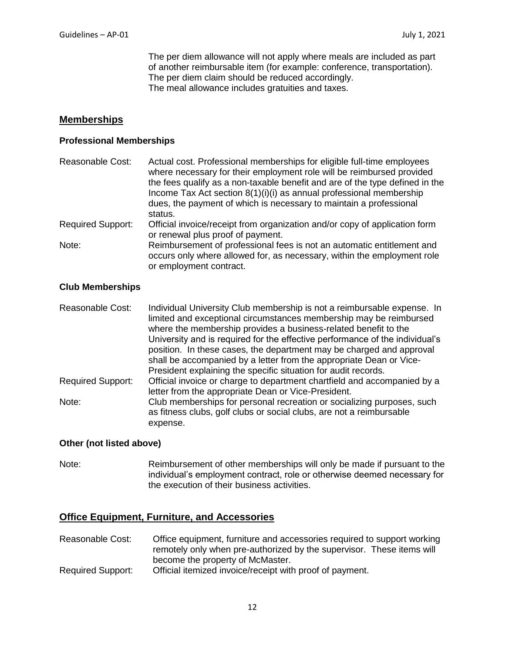The per diem allowance will not apply where meals are included as part of another reimbursable item (for example: conference, transportation). The per diem claim should be reduced accordingly. The meal allowance includes gratuities and taxes.

#### **Memberships**

#### **Professional Memberships**

| Reasonable Cost:         | Actual cost. Professional memberships for eligible full-time employees<br>where necessary for their employment role will be reimbursed provided<br>the fees qualify as a non-taxable benefit and are of the type defined in the<br>Income Tax Act section 8(1)(i)(i) as annual professional membership<br>dues, the payment of which is necessary to maintain a professional<br>status. |
|--------------------------|-----------------------------------------------------------------------------------------------------------------------------------------------------------------------------------------------------------------------------------------------------------------------------------------------------------------------------------------------------------------------------------------|
| <b>Required Support:</b> | Official invoice/receipt from organization and/or copy of application form<br>or renewal plus proof of payment.                                                                                                                                                                                                                                                                         |
| Note:                    | Reimbursement of professional fees is not an automatic entitlement and<br>occurs only where allowed for, as necessary, within the employment role<br>or employment contract.                                                                                                                                                                                                            |

#### **Club Memberships**

| <b>Reasonable Cost:</b>  | Individual University Club membership is not a reimbursable expense. In<br>limited and exceptional circumstances membership may be reimbursed<br>where the membership provides a business-related benefit to the            |
|--------------------------|-----------------------------------------------------------------------------------------------------------------------------------------------------------------------------------------------------------------------------|
|                          | University and is required for the effective performance of the individual's<br>position. In these cases, the department may be charged and approval<br>shall be accompanied by a letter from the appropriate Dean or Vice- |
|                          | President explaining the specific situation for audit records.                                                                                                                                                              |
| <b>Required Support:</b> | Official invoice or charge to department chartfield and accompanied by a<br>letter from the appropriate Dean or Vice-President.                                                                                             |
| Note:                    | Club memberships for personal recreation or socializing purposes, such<br>as fitness clubs, golf clubs or social clubs, are not a reimbursable<br>expense.                                                                  |

#### **Other (not listed above)**

Note: Reimbursement of other memberships will only be made if pursuant to the individual's employment contract, role or otherwise deemed necessary for the execution of their business activities.

#### **Office Equipment, Furniture, and Accessories**

- Reasonable Cost: Office equipment, furniture and accessories required to support working remotely only when pre-authorized by the supervisor. These items will become the property of McMaster.
- Required Support: Official itemized invoice/receipt with proof of payment.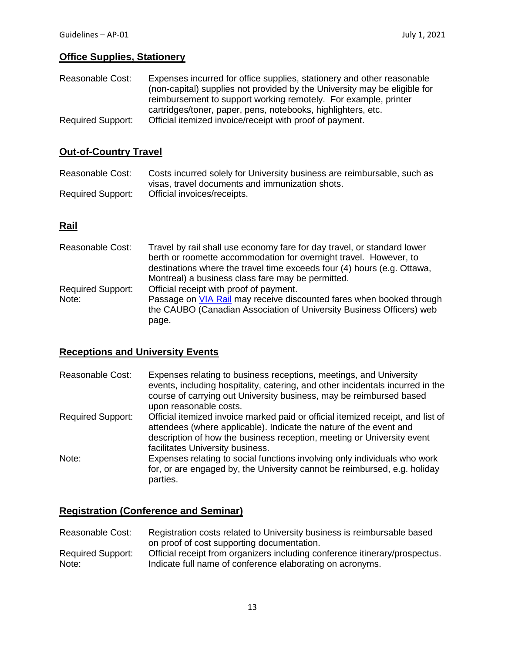## **Office Supplies, Stationery**

| Reasonable Cost:         | Expenses incurred for office supplies, stationery and other reasonable    |
|--------------------------|---------------------------------------------------------------------------|
|                          | (non-capital) supplies not provided by the University may be eligible for |
|                          | reimbursement to support working remotely. For example, printer           |
|                          | cartridges/toner, paper, pens, notebooks, highlighters, etc.              |
| <b>Required Support:</b> | Official itemized invoice/receipt with proof of payment.                  |

## **Out-of-Country Travel**

Reasonable Cost: Costs incurred solely for University business are reimbursable, such as visas, travel documents and immunization shots. Required Support: Official invoices/receipts.

### **Rail**

| Reasonable Cost:                  | Travel by rail shall use economy fare for day travel, or standard lower<br>berth or roomette accommodation for overnight travel. However, to<br>destinations where the travel time exceeds four (4) hours (e.g. Ottawa,<br>Montreal) a business class fare may be permitted. |  |
|-----------------------------------|------------------------------------------------------------------------------------------------------------------------------------------------------------------------------------------------------------------------------------------------------------------------------|--|
| <b>Required Support:</b><br>Note: | Official receipt with proof of payment.<br>Passage on VIA Rail may receive discounted fares when booked through<br>the CAUBO (Canadian Association of University Business Officers) web<br>page.                                                                             |  |

## **Receptions and University Events**

| Reasonable Cost:         | Expenses relating to business receptions, meetings, and University<br>events, including hospitality, catering, and other incidentals incurred in the<br>course of carrying out University business, may be reimbursed based<br>upon reasonable costs.               |
|--------------------------|---------------------------------------------------------------------------------------------------------------------------------------------------------------------------------------------------------------------------------------------------------------------|
| <b>Required Support:</b> | Official itemized invoice marked paid or official itemized receipt, and list of<br>attendees (where applicable). Indicate the nature of the event and<br>description of how the business reception, meeting or University event<br>facilitates University business. |
| Note:                    | Expenses relating to social functions involving only individuals who work<br>for, or are engaged by, the University cannot be reimbursed, e.g. holiday<br>parties.                                                                                                  |

## **Registration (Conference and Seminar)**

| Reasonable Cost:         | Registration costs related to University business is reimbursable based     |  |
|--------------------------|-----------------------------------------------------------------------------|--|
|                          | on proof of cost supporting documentation.                                  |  |
| <b>Required Support:</b> | Official receipt from organizers including conference itinerary/prospectus. |  |
| Note:                    | Indicate full name of conference elaborating on acronyms.                   |  |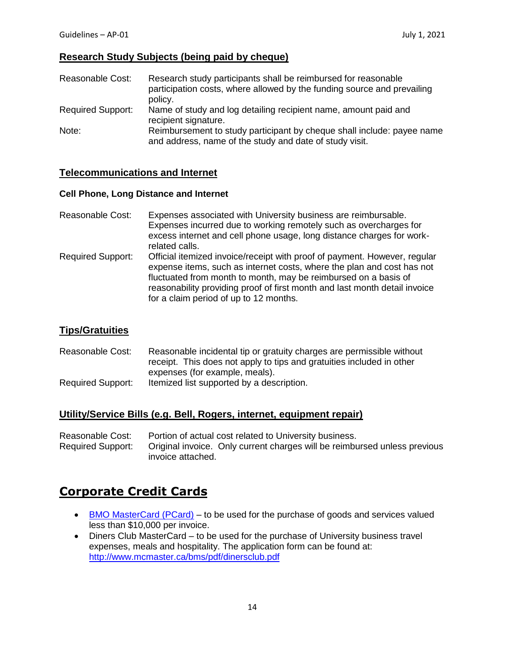### **Research Study Subjects (being paid by cheque)**

| Reasonable Cost:         | Research study participants shall be reimbursed for reasonable<br>participation costs, where allowed by the funding source and prevailing<br>policy. |
|--------------------------|------------------------------------------------------------------------------------------------------------------------------------------------------|
| <b>Required Support:</b> | Name of study and log detailing recipient name, amount paid and<br>recipient signature.                                                              |
| Note:                    | Reimbursement to study participant by cheque shall include: payee name<br>and address, name of the study and date of study visit.                    |

### **Telecommunications and Internet**

#### **Cell Phone, Long Distance and Internet**

- Reasonable Cost: Expenses associated with University business are reimbursable. Expenses incurred due to working remotely such as overcharges for excess internet and cell phone usage, long distance charges for workrelated calls. Required Support: Official itemized invoice/receipt with proof of payment. However, regular
- expense items, such as internet costs, where the plan and cost has not fluctuated from month to month, may be reimbursed on a basis of reasonability providing proof of first month and last month detail invoice for a claim period of up to 12 months.

### **Tips/Gratuities**

Reasonable Cost: Reasonable incidental tip or gratuity charges are permissible without receipt. This does not apply to tips and gratuities included in other expenses (for example, meals). Required Support: Itemized list supported by a description.

### **Utility/Service Bills (e.g. Bell, Rogers, internet, equipment repair)**

| Reasonable Cost:         | Portion of actual cost related to University business.                    |  |
|--------------------------|---------------------------------------------------------------------------|--|
| <b>Required Support:</b> | Original invoice. Only current charges will be reimbursed unless previous |  |
|                          | invoice attached.                                                         |  |

# **Corporate Credit Cards**

- [BMO MasterCard \(PCard\)](http://www.mcmaster.ca/bms/BMS_Purchasing_Resources.htm#card) to be used for the purchase of goods and services valued less than \$10,000 per invoice.
- Diners Club MasterCard to be used for the purchase of University business travel expenses, meals and hospitality. The application form can be found at: <http://www.mcmaster.ca/bms/pdf/dinersclub.pdf>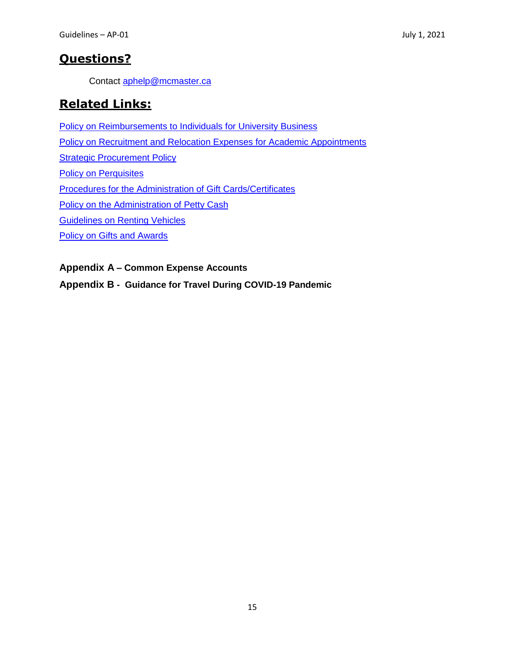# **Questions?**

Contact [aphelp@mcmaster.ca](mailto:aphelp@mcmaster.ca)

# **Related Links:**

**[Policy on Reimbursements to Individuals for University Business](http://www.mcmaster.ca/bms/policy/accounts_payable/ap01-rem_univ_bus.pdf)** [Policy on Recruitment and Relocation Expenses for Academic Appointments](https://www.mcmaster.ca/vpacademic/documents/Forms%20Warehouse/POLICY_RECRUITMENT_&_RELOCATION_EXP_ACADEMIC_APPOINTMENTS.pdf) **[Strategic Procurement Policy](http://www.mcmaster.ca/bms/policy/purchase/SP-01.pdf)** [Policy on Perquisites](http://www.mcmaster.ca/policy/Employee/Policy_on_Perquisites.pdf) [Procedures for the Administration of Gift Cards/Certificates](http://www.mcmaster.ca/bms/policy/accounts_payable/giftcardscertificates.pdf) [Policy on the Administration of Petty Cash](http://www.mcmaster.ca/bms/policy/finance/pettycash.pdf) [Guidelines on Renting Vehicles](http://www.mcmaster.ca/bms/pdf/rentingvehicles.pdf) Policy [on Gifts and Awards](http://www.mcmaster.ca/vpadmin/Policies/HRPolicy_Gifts_and_Awards.pdf)

**Appendix A – Common Expense Accounts**

**Appendix B - Guidance for Travel During COVID-19 Pandemic**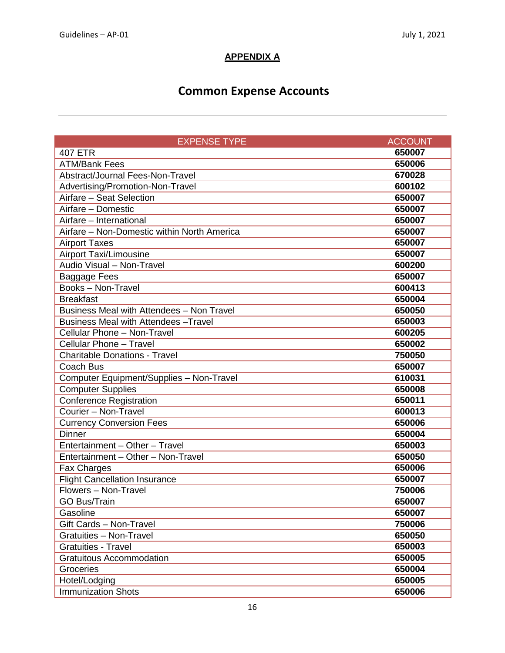## **APPENDIX A**

# **Common Expense Accounts**

| <b>EXPENSE TYPE</b>                          | <b>ACCOUNT</b> |
|----------------------------------------------|----------------|
| <b>407 ETR</b>                               | 650007         |
| <b>ATM/Bank Fees</b>                         | 650006         |
| Abstract/Journal Fees-Non-Travel             | 670028         |
| Advertising/Promotion-Non-Travel             | 600102         |
| Airfare - Seat Selection                     | 650007         |
| Airfare - Domestic                           | 650007         |
| Airfare - International                      | 650007         |
| Airfare - Non-Domestic within North America  | 650007         |
| <b>Airport Taxes</b>                         | 650007         |
| <b>Airport Taxi/Limousine</b>                | 650007         |
| Audio Visual - Non-Travel                    | 600200         |
| <b>Baggage Fees</b>                          | 650007         |
| <b>Books-Non-Travel</b>                      | 600413         |
| <b>Breakfast</b>                             | 650004         |
| Business Meal with Attendees - Non Travel    | 650050         |
| <b>Business Meal with Attendees - Travel</b> | 650003         |
| Cellular Phone - Non-Travel                  | 600205         |
| Cellular Phone - Travel                      | 650002         |
| <b>Charitable Donations - Travel</b>         | 750050         |
| Coach Bus                                    | 650007         |
| Computer Equipment/Supplies - Non-Travel     | 610031         |
| <b>Computer Supplies</b>                     | 650008         |
| <b>Conference Registration</b>               | 650011         |
| Courier - Non-Travel                         | 600013         |
| <b>Currency Conversion Fees</b>              | 650006         |
| <b>Dinner</b>                                | 650004         |
| Entertainment - Other - Travel               | 650003         |
| Entertainment - Other - Non-Travel           | 650050         |
| Fax Charges                                  | 650006         |
| <b>Flight Cancellation Insurance</b>         | 650007         |
| Flowers - Non-Travel                         | 750006         |
| <b>GO Bus/Train</b>                          | 650007         |
| Gasoline                                     | 650007         |
| Gift Cards - Non-Travel                      | 750006         |
| Gratuities - Non-Travel                      | 650050         |
| <b>Gratuities - Travel</b>                   | 650003         |
| <b>Gratuitous Accommodation</b>              | 650005         |
| Groceries                                    | 650004         |
| Hotel/Lodging                                | 650005         |
| <b>Immunization Shots</b>                    | 650006         |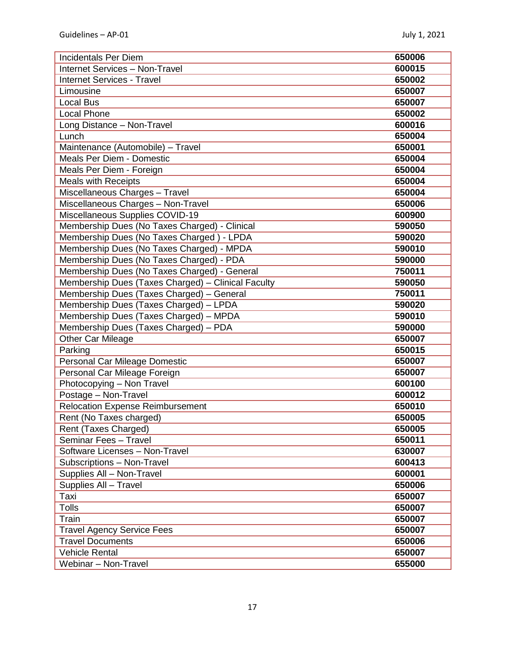| <b>Incidentals Per Diem</b>                        | 650006 |
|----------------------------------------------------|--------|
| <b>Internet Services - Non-Travel</b>              | 600015 |
| <b>Internet Services - Travel</b>                  | 650002 |
| Limousine                                          | 650007 |
| <b>Local Bus</b>                                   | 650007 |
| <b>Local Phone</b>                                 | 650002 |
| Long Distance - Non-Travel                         | 600016 |
| Lunch                                              | 650004 |
| Maintenance (Automobile) - Travel                  | 650001 |
| Meals Per Diem - Domestic                          | 650004 |
| Meals Per Diem - Foreign                           | 650004 |
| <b>Meals with Receipts</b>                         | 650004 |
| Miscellaneous Charges - Travel                     | 650004 |
| Miscellaneous Charges - Non-Travel                 | 650006 |
| Miscellaneous Supplies COVID-19                    | 600900 |
| Membership Dues (No Taxes Charged) - Clinical      | 590050 |
| Membership Dues (No Taxes Charged) - LPDA          | 590020 |
| Membership Dues (No Taxes Charged) - MPDA          | 590010 |
| Membership Dues (No Taxes Charged) - PDA           | 590000 |
| Membership Dues (No Taxes Charged) - General       | 750011 |
| Membership Dues (Taxes Charged) - Clinical Faculty | 590050 |
| Membership Dues (Taxes Charged) - General          | 750011 |
| Membership Dues (Taxes Charged) - LPDA             | 590020 |
| Membership Dues (Taxes Charged) - MPDA             | 590010 |
| Membership Dues (Taxes Charged) - PDA              | 590000 |
| <b>Other Car Mileage</b>                           | 650007 |
| Parking                                            | 650015 |
| Personal Car Mileage Domestic                      | 650007 |
| Personal Car Mileage Foreign                       | 650007 |
| Photocopying - Non Travel                          | 600100 |
| Postage - Non-Travel                               | 600012 |
| <b>Relocation Expense Reimbursement</b>            | 650010 |
| Rent (No Taxes charged)                            | 650005 |
| Rent (Taxes Charged)                               | 650005 |
| Seminar Fees - Travel                              | 650011 |
| Software Licenses - Non-Travel                     | 630007 |
| Subscriptions - Non-Travel                         | 600413 |
| Supplies All - Non-Travel                          | 600001 |
| Supplies All - Travel                              | 650006 |
| Taxi                                               | 650007 |
| <b>Tolls</b>                                       | 650007 |
| Train                                              | 650007 |
| <b>Travel Agency Service Fees</b>                  | 650007 |
| <b>Travel Documents</b>                            | 650006 |
| <b>Vehicle Rental</b>                              | 650007 |
| Webinar - Non-Travel                               | 655000 |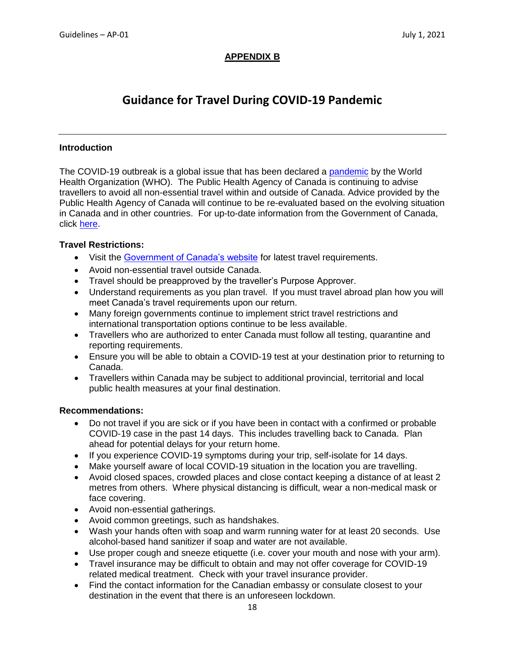### **APPENDIX B**

# **Guidance for Travel During COVID-19 Pandemic**

#### **Introduction**

The COVID-19 outbreak is a global issue that has been declared a [pandemic](https://www.who.int/dg/speeches/detail/who-director-general-s-opening-remarks-at-the-media-briefing-on-covid-19---11-march-2020) by the World Health Organization (WHO). The Public Health Agency of Canada is continuing to advise travellers to avoid all non-essential travel within and outside of Canada. Advice provided by the Public Health Agency of Canada will continue to be re-evaluated based on the evolving situation in Canada and in other countries. For up-to-date information from the Government of Canada, click [here.](https://travel.gc.ca/travelling/health-safety/travel-health-notices/221)

#### **Travel Restrictions:**

- Visit the [Government of Canada's website](https://travel.gc.ca/travelling/health-safety/travel-health-notices/221) for latest travel requirements.
- Avoid non-essential travel outside Canada.
- Travel should be preapproved by the traveller's Purpose Approver.
- Understand requirements as you plan travel. If you must travel abroad plan how you will meet Canada's travel requirements upon our return.
- Many foreign governments continue to implement strict travel restrictions and international transportation options continue to be less available.
- Travellers who are authorized to enter Canada must follow all testing, quarantine and reporting requirements.
- Ensure you will be able to obtain a COVID-19 test at your destination prior to returning to Canada.
- Travellers within Canada may be subject to additional provincial, territorial and local public health measures at your final destination.

#### **Recommendations:**

- Do not travel if you are sick or if you have been in contact with a confirmed or probable COVID-19 case in the past 14 days. This includes travelling back to Canada. Plan ahead for potential delays for your return home.
- If you experience COVID-19 symptoms during your trip, self-isolate for 14 days.
- Make yourself aware of local COVID-19 situation in the location you are travelling.
- Avoid closed spaces, crowded places and close contact keeping a distance of at least 2 metres from others. Where physical distancing is difficult, wear a non-medical mask or face covering.
- Avoid non-essential gatherings.
- Avoid common greetings, such as handshakes.
- Wash your hands often with soap and warm running water for at least 20 seconds. Use alcohol-based hand sanitizer if soap and water are not available.
- Use proper cough and sneeze etiquette (i.e. cover your mouth and nose with your arm).
- Travel insurance may be difficult to obtain and may not offer coverage for COVID-19 related medical treatment. Check with your travel insurance provider.
- Find the contact information for the Canadian embassy or consulate closest to your destination in the event that there is an unforeseen lockdown.